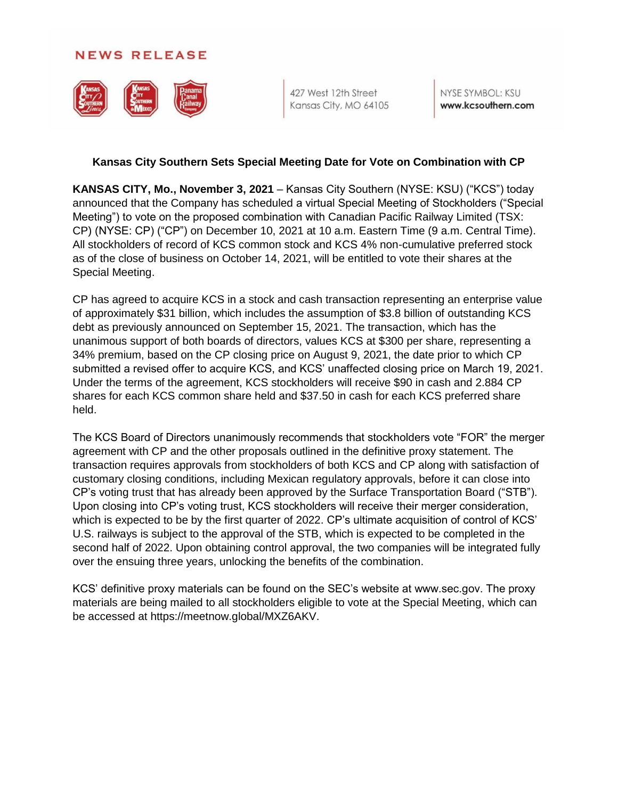### **NEWS RELEASE**



427 West 12th Street Kansas City, MO 64105 NYSE SYMBOL: KSU www.kcsouthern.com

### **Kansas City Southern Sets Special Meeting Date for Vote on Combination with CP**

**KANSAS CITY, Mo., November 3, 2021** – Kansas City Southern (NYSE: KSU) ("KCS") today announced that the Company has scheduled a virtual Special Meeting of Stockholders ("Special Meeting") to vote on the proposed combination with Canadian Pacific Railway Limited (TSX: CP) (NYSE: CP) ("CP") on December 10, 2021 at 10 a.m. Eastern Time (9 a.m. Central Time). All stockholders of record of KCS common stock and KCS 4% non-cumulative preferred stock as of the close of business on October 14, 2021, will be entitled to vote their shares at the Special Meeting.

CP has agreed to acquire KCS in a stock and cash transaction representing an enterprise value of approximately \$31 billion, which includes the assumption of \$3.8 billion of outstanding KCS debt as previously announced on September 15, 2021. The transaction, which has the unanimous support of both boards of directors, values KCS at \$300 per share, representing a 34% premium, based on the CP closing price on August 9, 2021, the date prior to which CP submitted a revised offer to acquire KCS, and KCS' unaffected closing price on March 19, 2021. Under the terms of the agreement, KCS stockholders will receive \$90 in cash and 2.884 CP shares for each KCS common share held and \$37.50 in cash for each KCS preferred share held.

The KCS Board of Directors unanimously recommends that stockholders vote "FOR" the merger agreement with CP and the other proposals outlined in the definitive proxy statement. The transaction requires approvals from stockholders of both KCS and CP along with satisfaction of customary closing conditions, including Mexican regulatory approvals, before it can close into CP's voting trust that has already been approved by the Surface Transportation Board ("STB"). Upon closing into CP's voting trust, KCS stockholders will receive their merger consideration, which is expected to be by the first quarter of 2022. CP's ultimate acquisition of control of KCS' U.S. railways is subject to the approval of the STB, which is expected to be completed in the second half of 2022. Upon obtaining control approval, the two companies will be integrated fully over the ensuing three years, unlocking the benefits of the combination.

KCS' definitive proxy materials can be found on the SEC's website at www.sec.gov. The proxy materials are being mailed to all stockholders eligible to vote at the Special Meeting, which can be accessed at https://meetnow.global/MXZ6AKV.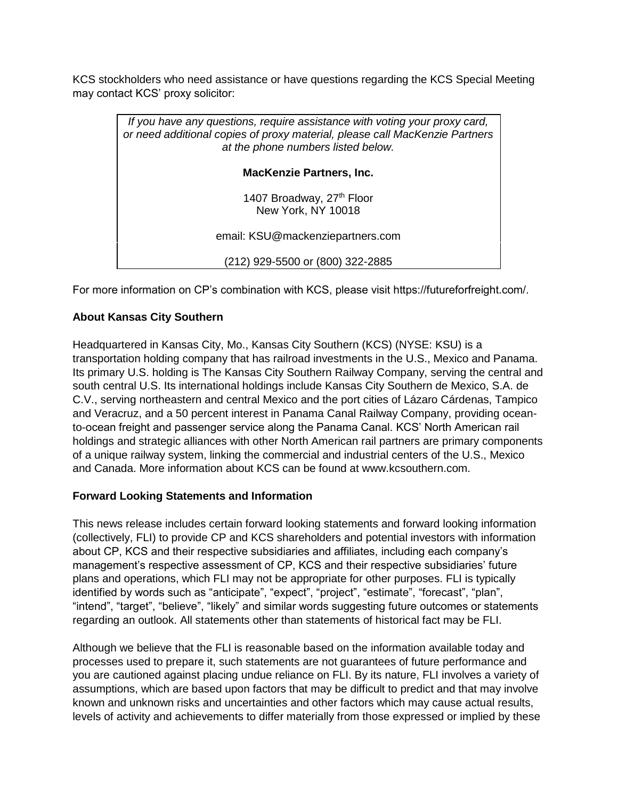KCS stockholders who need assistance or have questions regarding the KCS Special Meeting may contact KCS' proxy solicitor:

| If you have any questions, require assistance with voting your proxy card,<br>or need additional copies of proxy material, please call MacKenzie Partners<br>at the phone numbers listed below. |
|-------------------------------------------------------------------------------------------------------------------------------------------------------------------------------------------------|
| <b>MacKenzie Partners, Inc.</b>                                                                                                                                                                 |
| 1407 Broadway, 27 <sup>th</sup> Floor<br>New York, NY 10018                                                                                                                                     |
| email: KSU@mackenziepartners.com                                                                                                                                                                |
| (212) 929-5500 or (800) 322-2885                                                                                                                                                                |

For more information on CP's combination with KCS, please visit https://futureforfreight.com/.

# **About Kansas City Southern**

Headquartered in Kansas City, Mo., Kansas City Southern (KCS) (NYSE: KSU) is a transportation holding company that has railroad investments in the U.S., Mexico and Panama. Its primary U.S. holding is The Kansas City Southern Railway Company, serving the central and south central U.S. Its international holdings include Kansas City Southern de Mexico, S.A. de C.V., serving northeastern and central Mexico and the port cities of Lázaro Cárdenas, Tampico and Veracruz, and a 50 percent interest in Panama Canal Railway Company, providing oceanto-ocean freight and passenger service along the Panama Canal. KCS' North American rail holdings and strategic alliances with other North American rail partners are primary components of a unique railway system, linking the commercial and industrial centers of the U.S., Mexico and Canada. More information about KCS can be found at www.kcsouthern.com.

### **Forward Looking Statements and Information**

This news release includes certain forward looking statements and forward looking information (collectively, FLI) to provide CP and KCS shareholders and potential investors with information about CP, KCS and their respective subsidiaries and affiliates, including each company's management's respective assessment of CP, KCS and their respective subsidiaries' future plans and operations, which FLI may not be appropriate for other purposes. FLI is typically identified by words such as "anticipate", "expect", "project", "estimate", "forecast", "plan", "intend", "target", "believe", "likely" and similar words suggesting future outcomes or statements regarding an outlook. All statements other than statements of historical fact may be FLI.

Although we believe that the FLI is reasonable based on the information available today and processes used to prepare it, such statements are not guarantees of future performance and you are cautioned against placing undue reliance on FLI. By its nature, FLI involves a variety of assumptions, which are based upon factors that may be difficult to predict and that may involve known and unknown risks and uncertainties and other factors which may cause actual results, levels of activity and achievements to differ materially from those expressed or implied by these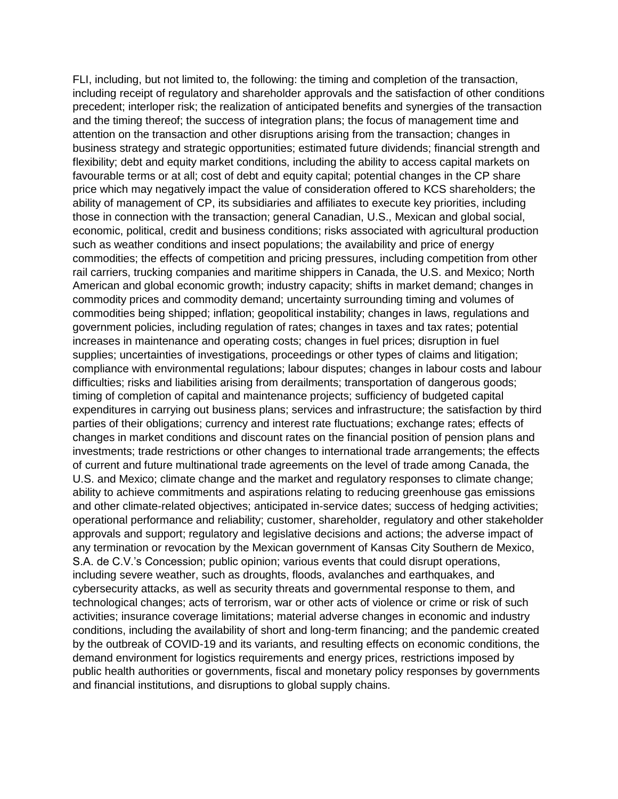FLI, including, but not limited to, the following: the timing and completion of the transaction, including receipt of regulatory and shareholder approvals and the satisfaction of other conditions precedent; interloper risk; the realization of anticipated benefits and synergies of the transaction and the timing thereof; the success of integration plans; the focus of management time and attention on the transaction and other disruptions arising from the transaction; changes in business strategy and strategic opportunities; estimated future dividends; financial strength and flexibility; debt and equity market conditions, including the ability to access capital markets on favourable terms or at all; cost of debt and equity capital; potential changes in the CP share price which may negatively impact the value of consideration offered to KCS shareholders; the ability of management of CP, its subsidiaries and affiliates to execute key priorities, including those in connection with the transaction; general Canadian, U.S., Mexican and global social, economic, political, credit and business conditions; risks associated with agricultural production such as weather conditions and insect populations; the availability and price of energy commodities; the effects of competition and pricing pressures, including competition from other rail carriers, trucking companies and maritime shippers in Canada, the U.S. and Mexico; North American and global economic growth; industry capacity; shifts in market demand; changes in commodity prices and commodity demand; uncertainty surrounding timing and volumes of commodities being shipped; inflation; geopolitical instability; changes in laws, regulations and government policies, including regulation of rates; changes in taxes and tax rates; potential increases in maintenance and operating costs; changes in fuel prices; disruption in fuel supplies; uncertainties of investigations, proceedings or other types of claims and litigation; compliance with environmental regulations; labour disputes; changes in labour costs and labour difficulties; risks and liabilities arising from derailments; transportation of dangerous goods; timing of completion of capital and maintenance projects; sufficiency of budgeted capital expenditures in carrying out business plans; services and infrastructure; the satisfaction by third parties of their obligations; currency and interest rate fluctuations; exchange rates; effects of changes in market conditions and discount rates on the financial position of pension plans and investments; trade restrictions or other changes to international trade arrangements; the effects of current and future multinational trade agreements on the level of trade among Canada, the U.S. and Mexico; climate change and the market and regulatory responses to climate change; ability to achieve commitments and aspirations relating to reducing greenhouse gas emissions and other climate-related objectives; anticipated in-service dates; success of hedging activities; operational performance and reliability; customer, shareholder, regulatory and other stakeholder approvals and support; regulatory and legislative decisions and actions; the adverse impact of any termination or revocation by the Mexican government of Kansas City Southern de Mexico, S.A. de C.V.'s Concession; public opinion; various events that could disrupt operations, including severe weather, such as droughts, floods, avalanches and earthquakes, and cybersecurity attacks, as well as security threats and governmental response to them, and technological changes; acts of terrorism, war or other acts of violence or crime or risk of such activities; insurance coverage limitations; material adverse changes in economic and industry conditions, including the availability of short and long-term financing; and the pandemic created by the outbreak of COVID-19 and its variants, and resulting effects on economic conditions, the demand environment for logistics requirements and energy prices, restrictions imposed by public health authorities or governments, fiscal and monetary policy responses by governments and financial institutions, and disruptions to global supply chains.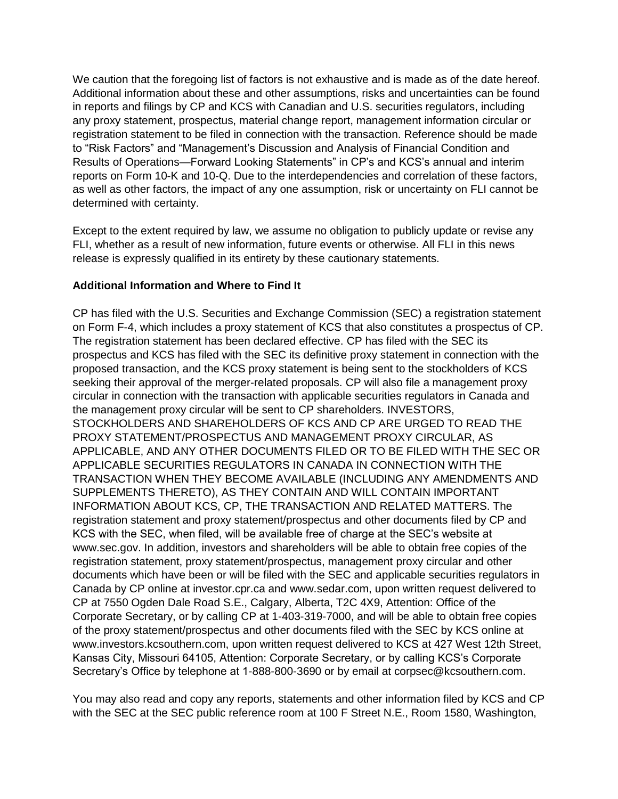We caution that the foregoing list of factors is not exhaustive and is made as of the date hereof. Additional information about these and other assumptions, risks and uncertainties can be found in reports and filings by CP and KCS with Canadian and U.S. securities regulators, including any proxy statement, prospectus, material change report, management information circular or registration statement to be filed in connection with the transaction. Reference should be made to "Risk Factors" and "Management's Discussion and Analysis of Financial Condition and Results of Operations—Forward Looking Statements" in CP's and KCS's annual and interim reports on Form 10-K and 10-Q. Due to the interdependencies and correlation of these factors, as well as other factors, the impact of any one assumption, risk or uncertainty on FLI cannot be determined with certainty.

Except to the extent required by law, we assume no obligation to publicly update or revise any FLI, whether as a result of new information, future events or otherwise. All FLI in this news release is expressly qualified in its entirety by these cautionary statements.

### **Additional Information and Where to Find It**

CP has filed with the U.S. Securities and Exchange Commission (SEC) a registration statement on Form F-4, which includes a proxy statement of KCS that also constitutes a prospectus of CP. The registration statement has been declared effective. CP has filed with the SEC its prospectus and KCS has filed with the SEC its definitive proxy statement in connection with the proposed transaction, and the KCS proxy statement is being sent to the stockholders of KCS seeking their approval of the merger-related proposals. CP will also file a management proxy circular in connection with the transaction with applicable securities regulators in Canada and the management proxy circular will be sent to CP shareholders. INVESTORS, STOCKHOLDERS AND SHAREHOLDERS OF KCS AND CP ARE URGED TO READ THE PROXY STATEMENT/PROSPECTUS AND MANAGEMENT PROXY CIRCULAR, AS APPLICABLE, AND ANY OTHER DOCUMENTS FILED OR TO BE FILED WITH THE SEC OR APPLICABLE SECURITIES REGULATORS IN CANADA IN CONNECTION WITH THE TRANSACTION WHEN THEY BECOME AVAILABLE (INCLUDING ANY AMENDMENTS AND SUPPLEMENTS THERETO), AS THEY CONTAIN AND WILL CONTAIN IMPORTANT INFORMATION ABOUT KCS, CP, THE TRANSACTION AND RELATED MATTERS. The registration statement and proxy statement/prospectus and other documents filed by CP and KCS with the SEC, when filed, will be available free of charge at the SEC's website at www.sec.gov. In addition, investors and shareholders will be able to obtain free copies of the registration statement, proxy statement/prospectus, management proxy circular and other documents which have been or will be filed with the SEC and applicable securities regulators in Canada by CP online at investor.cpr.ca and www.sedar.com, upon written request delivered to CP at 7550 Ogden Dale Road S.E., Calgary, Alberta, T2C 4X9, Attention: Office of the Corporate Secretary, or by calling CP at 1-403-319-7000, and will be able to obtain free copies of the proxy statement/prospectus and other documents filed with the SEC by KCS online at www.investors.kcsouthern.com, upon written request delivered to KCS at 427 West 12th Street, Kansas City, Missouri 64105, Attention: Corporate Secretary, or by calling KCS's Corporate Secretary's Office by telephone at 1-888-800-3690 or by email at corpsec@kcsouthern.com.

You may also read and copy any reports, statements and other information filed by KCS and CP with the SEC at the SEC public reference room at 100 F Street N.E., Room 1580, Washington,